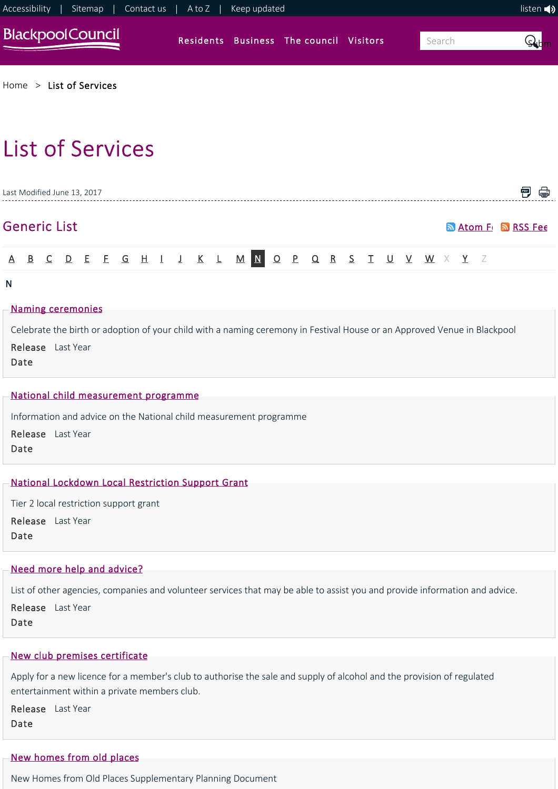

[Home](https://www.blackpool.gov.uk/Home.aspx) > [List of Services](https://www.blackpool.gov.uk/List-of-Services.aspx)

# List of Services

|  | Last Modified June 13, 2017 |  |  |  |  |                                                                  |  |  |  |  |  |  |                           |  |
|--|-----------------------------|--|--|--|--|------------------------------------------------------------------|--|--|--|--|--|--|---------------------------|--|
|  | <b>Generic List</b>         |  |  |  |  |                                                                  |  |  |  |  |  |  | <b>Matom Fri MRSS Fee</b> |  |
|  |                             |  |  |  |  | A B C D E F G H I J K L M <mark>N O P Q R S T U V W X Y</mark> Z |  |  |  |  |  |  |                           |  |

#### N

#### [Naming ceremonies](https://www.blackpool.gov.uk/Residents/Life-events/Register-a-birth/Naming-ceremonies.aspx)

Celebrate the birth or adoption of your child with a naming ceremony in Festival House or an Approved Venue in Blackpool

Release Last Year Date

#### [National child measurement programme](https://www.blackpool.gov.uk/Residents/Health-and-social-care/Public-health/National-child-measurement-programme.aspx)

Information and advice on the National child measurement programme

Release Last Year Date

## [National Lockdown Local Restriction Support Grant](https://www.blackpool.gov.uk/Residents/Benefits/National-Lockdown-Local-Restriction-Support-Grant.aspx)

Tier 2 local restriction support grant Release Last Year Date

#### [Need more help and advice?](https://www.blackpool.gov.uk/Residents/Health-and-social-care/Social-care-for-adults/Adult-social-services/Need-more-help-and-advice.aspx)

List of other agencies, companies and volunteer services that may be able to assist you and provide information and advice.

Release Last Year Date

# [New club premises certificate](https://www.blackpool.gov.uk/Business/Licensing-and-permits/Alcohol-entertainment-and-food-licences/Club-premises-certificates/New-club-premises-certificate.aspx)

Apply for a new licence for a member's club to authorise the sale and supply of alcohol and the provision of regulated entertainment within a private members club.

Release Last Year Date

# [New homes from old places](https://www.blackpool.gov.uk/Residents/Planning-environment-and-community/Planning/Planning-policy/Blackpool-local-plan/Supplementary-planning-documents-and-guidance/New-homes-from-old-places.aspx)

New Homes from Old Places Supplementary Planning Document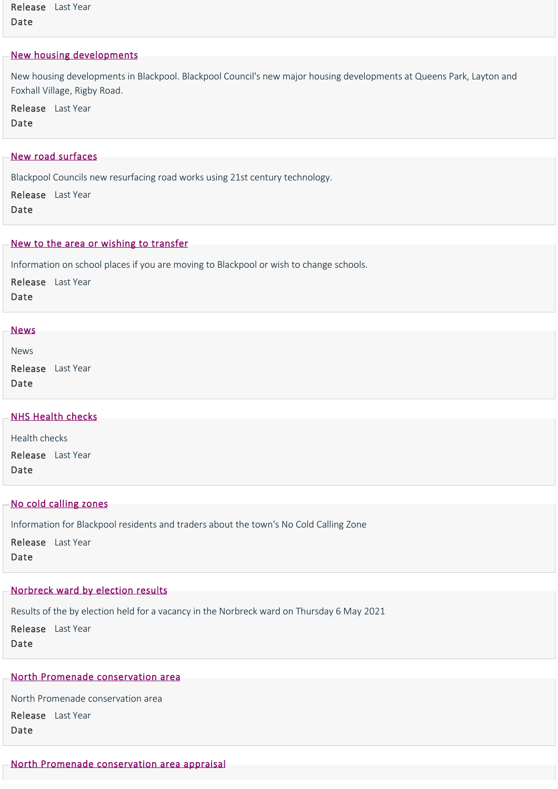Release Last Year Date

## [New housing developments](https://www.blackpool.gov.uk/Residents/Housing/New-housing-developments/New-housing-developments.aspx)

New housing developments in Blackpool. Blackpool Council's new major housing developments at Queens Park, Layton and Foxhall Village, Rigby Road.

Release Last Year Date

## [New road surfaces](https://www.blackpool.gov.uk/Residents/Parking-roads-and-transport/Roadworks-and-road-maintenance/New-road-surfaces.aspx)

Blackpool Councils new resurfacing road works using 21st century technology.

Release Last Year Date

#### [New to the area or wishing to transfer](https://www.blackpool.gov.uk/Residents/Education-and-schools/School-admissions/New-to-the-area-or-wishing-to-transfer.aspx)

Information on school places if you are moving to Blackpool or wish to change schools.

Release Last Year Date

# **[News](https://www.blackpool.gov.uk/Residents/Health-and-social-care/Children-and-families/JustUz/News/News.aspx)**

News

Release Last Year Date

| - NHS Health checks |  |  |
|---------------------|--|--|
|                     |  |  |
| Health checks       |  |  |

Release Last Year Date

#### [No cold calling zones](https://www.blackpool.gov.uk/Residents/Advice-and-support/Consumer-advice/No-cold-calling-zones.aspx)

Information for Blackpool residents and traders about the town's No Cold Calling Zone Release Last Year Date

# [Norbreck ward by election results](https://www.blackpool.gov.uk/Your-Council/Voting-and-elections/Elections/By-elections/Norbreck-ward-by-election-results.aspx)

Results of the by election held for a vacancy in the Norbreck ward on Thursday 6 May 2021

Release Last Year Date

# [North Promenade conservation area](https://www.blackpool.gov.uk/Residents/Planning-environment-and-community/Planning/Conservation/North-Promenade-conservation-area/North-Promenade-conservation-area.aspx)

North Promenade conservation area Release Last Year Date

# [North Promenade conservation area appraisal](https://www.blackpool.gov.uk/Residents/Planning-environment-and-community/Planning/Conservation/North-Promenade-conservation-area/North-Promenade-conservation-area-appraisal.aspx)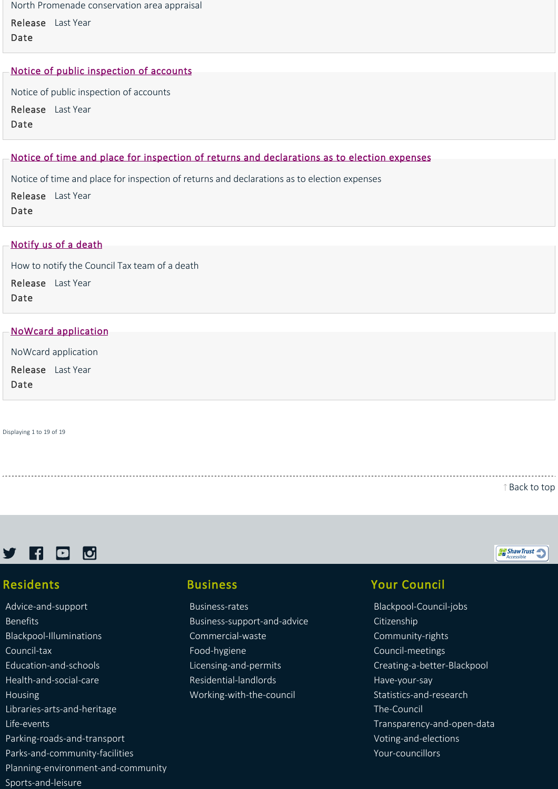North Promenade conservation area appraisal

Release Last Year Date

#### [Notice of public inspection of accounts](https://www.blackpool.gov.uk/Your-Council/Transparency-and-open-data/Budget,-spending-and-procurement/Notice-of-public-inspection-of-accounts.aspx)

Notice of public inspection of accounts Release Last Year Date

# [Notice of time and place for inspection of returns and declarations as to election expenses](https://www.blackpool.gov.uk/Your-Council/Voting-and-elections/Elections/Parliamentary-election-2019/Notice-of-time-and-place-for-inspection-of-returns-and-declarations-as-to-election-expenses.aspx)

Notice of time and place for inspection of returns and declarations as to election expenses Release Last Year Date

#### [Notify us of a death](https://www.blackpool.gov.uk/Residents/Council-tax/Notify-us-of-a-death.aspx)

How to notify the Council Tax team of a death Release Last Year Date

#### [NoWcard application](https://www.blackpool.gov.uk/Residents/Parking-roads-and-transport/Forms/NoWcard-application.aspx)

NoWcard application

Release Last Year

Date

Displaying 1 to 19 of 19

[Back to top](https://www.blackpool.gov.uk/List-of-Services.aspx?AZListing_AtoZLetter=N#)

ShawTrust



## Residents

[Advice‐and‐support](https://www.blackpool.gov.uk/Residents/Advice-and-support/) [Benefits](https://www.blackpool.gov.uk/Residents/Benefits/) [Blackpool‐Illuminations](https://www.blackpool.gov.uk/Residents/Blackpool-Illuminations/) [Council‐tax](https://www.blackpool.gov.uk/Residents/Council-tax/) [Education‐and‐schools](https://www.blackpool.gov.uk/Residents/Education-and-schools/) [Health‐and‐social‐care](https://www.blackpool.gov.uk/Residents/Health-and-social-care/) [Housing](https://www.blackpool.gov.uk/Residents/Housing/) [Libraries‐arts‐and‐heritage](https://www.blackpool.gov.uk/Residents/Libraries-arts-and-heritage/) [Life‐events](https://www.blackpool.gov.uk/Residents/Life-events/) [Parking‐roads‐and‐transport](https://www.blackpool.gov.uk/Residents/Parking-roads-and-transport/) [Parks‐and‐community‐facilities](https://www.blackpool.gov.uk/Residents/Parks-and-community-facilities/) [Planning‐environment‐and‐community](https://www.blackpool.gov.uk/Residents/Planning-environment-and-community/)

[Sports‐and‐leisure](https://www.blackpool.gov.uk/Residents/Sports-and-leisure/)

# Business

[Business‐rates](https://www.blackpool.gov.uk/Business/Business-rates/) [Business‐support‐and‐advice](https://www.blackpool.gov.uk/Business/Business-support-and-advice/) [Commercial‐waste](https://www.blackpool.gov.uk/Business/Commercial-waste/) [Food‐hygiene](https://www.blackpool.gov.uk/Business/Food-hygiene/) [Licensing‐and‐permits](https://www.blackpool.gov.uk/Business/Licensing-and-permits/) [Residential‐landlords](https://www.blackpool.gov.uk/Business/Residential-landlords/) [Working‐with‐the‐council](https://www.blackpool.gov.uk/Business/Working-with-the-council/)

# Your Council

[Blackpool‐Council‐jobs](https://www.blackpool.gov.uk/Your-Council/Blackpool-Council-jobs/) [Citizenship](https://www.blackpool.gov.uk/Your-Council/Citizenship/) [Community‐rights](https://www.blackpool.gov.uk/Your-Council/Community-rights/) [Council‐meetings](https://www.blackpool.gov.uk/Your-Council/Council-meetings/) [Creating‐a‐better‐Blackpool](https://www.blackpool.gov.uk/Your-Council/Creating-a-better-Blackpool/) [Have‐your‐say](https://www.blackpool.gov.uk/Your-Council/Have-your-say/) [Statistics‐and‐research](https://www.blackpool.gov.uk/Your-Council/Statistics-and-research/) [The‐Council](https://www.blackpool.gov.uk/Your-Council/The-Council/) [Transparency‐and‐open‐data](https://www.blackpool.gov.uk/Your-Council/Transparency-and-open-data/) [Voting‐and‐elections](https://www.blackpool.gov.uk/Your-Council/Voting-and-elections/) [Your‐councillors](https://www.blackpool.gov.uk/Your-Council/Your-councillors/)